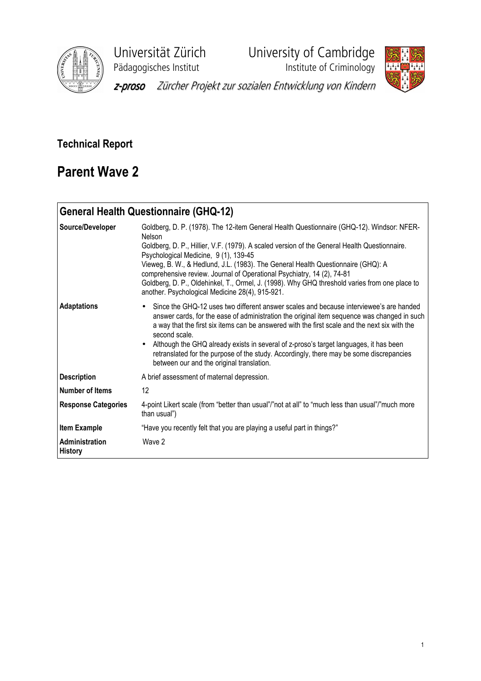

Pädagogisches Institut Institute of Criminology

Universität Zürich University of Cambridge



z-proso Zürcher Projekt zur sozialen Entwicklung von Kindern

# Technical Report

# Parent Wave 2

# General Health Questionnaire (GHQ-12) Source/Developer Goldberg, D. P. (1978). The 12-item General Health Questionnaire (GHQ-12). Windsor: NFER-Nelson Goldberg, D. P., Hillier, V.F. (1979). A scaled version of the General Health Questionnaire. Psychological Medicine, 9 (1), 139-45 Vieweg, B. W., & Hedlund, J.L. (1983). The General Health Questionnaire (GHQ): A comprehensive review. Journal of Operational Psychiatry, 14 (2), 74-81 Goldberg, D. P., Oldehinkel, T., Ormel, J. (1998). Why GHQ threshold varies from one place to another. Psychological Medicine 28(4), 915-921. Adaptations • Since the GHQ-12 uses two different answer scales and because interviewee's are handed answer cards, for the ease of administration the original item sequence was changed in such a way that the first six items can be answered with the first scale and the next six with the second scale. • Although the GHQ already exists in several of z-proso's target languages, it has been retranslated for the purpose of the study. Accordingly, there may be some discrepancies between our and the original translation. **Description** A brief assessment of maternal depression. Number of Items 12 Response Categories 4-point Likert scale (from "better than usual"/"not at all" to "much less than usual"/"much more than usual") Item Example "Have you recently felt that you are playing a useful part in things?" Administration History Wave 2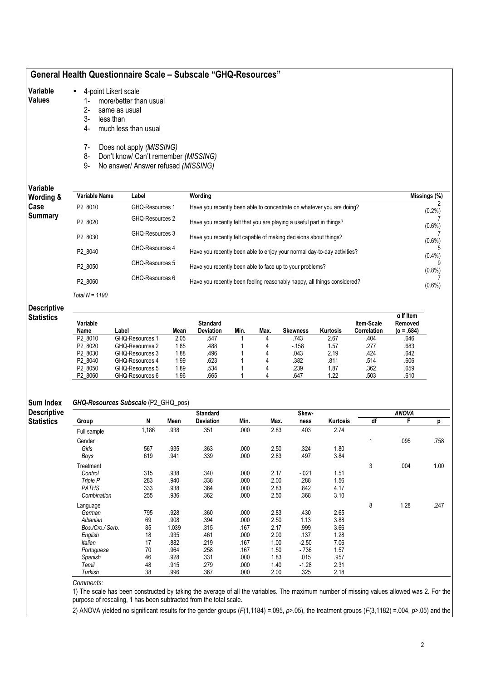# General Health Questionnaire Scale – Subscale "GHQ-Resources"

- Variable • 4-point Likert scale
	-
- 1- more/better than usual<br>2- same as usual same as usual
	- 3- less than
	- 4- much less than usual
	- 7- Does not apply (MISSING)
	- 8- Don't know/ Can't remember (MISSING)
	- 9- No answer/ Answer refused (MISSING)

#### Variable

Values

| .<br>Wording & | Variable Name    | Label           | Wording                                                                 | Missings (%) |
|----------------|------------------|-----------------|-------------------------------------------------------------------------|--------------|
| Case           | P2 8010          | GHQ-Resources 1 | Have you recently been able to concentrate on whatever you are doing?   | $(0.2\%)$    |
| Summary        | P2 8020          | GHQ-Resources 2 | Have you recently felt that you are playing a useful part in things?    | $(0.6\%)$    |
|                | P2 8030          | GHQ-Resources 3 | Have you recently felt capable of making decisions about things?        | $(0.6\%)$    |
|                | P2 8040          | GHQ-Resources 4 | Have you recently been able to enjoy your normal day-to-day activities? | $(0.4\%)$    |
|                | P2 8050          | GHQ-Resources 5 | Have you recently been able to face up to your problems?                | $(0.8\%)$    |
|                | P2 8060          | GHQ-Resources 6 | Have you recently been feeling reasonably happy, all things considered? | $(0.6\%)$    |
|                | Total $N = 1190$ |                 |                                                                         |              |

Descriptive

# **Statistics**

| Variable<br>Name | .abel           | Mean | <b>Standard</b><br><b>Deviation</b> | Min. | Max. | Skewness | Kurtosis | <b>Item-Scale</b><br>Correlation | $\alpha$ If Item<br>Removed<br>$(\alpha = .684)$ |
|------------------|-----------------|------|-------------------------------------|------|------|----------|----------|----------------------------------|--------------------------------------------------|
| P2 8010          | GHQ-Resources 1 | 2.05 | .547                                |      |      | .743     | 2.67     | .404                             | .646                                             |
| P2 8020          | GHQ-Resources 2 | 1.85 | .488                                |      |      | $-158$   | 1.57     | .277                             | .683                                             |
| P2 8030          | GHQ-Resources 3 | 1.88 | .496                                |      |      | .043     | 2.19     | .424                             | .642                                             |
| P2 8040          | GHQ-Resources 4 | 1.99 | .623                                |      |      | .382     | .811     | .514                             | .606                                             |
| P2 8050          | GHQ-Resources 5 | 1.89 | 534                                 |      |      | .239     | .87      | .362                             | .659                                             |
| P2 8060          | GHQ-Resources 6 | 1.96 | .665                                |      |      | .647     | .22      | .503                             | .610                                             |

#### Sum Index GHQ-Resources Subscale (P2\_GHQ\_pos)

| <b>Descriptive</b> |                  |       |       | <b>Standard</b>  |      |      | Skew-   |          |    | <b>ANOVA</b> |      |
|--------------------|------------------|-------|-------|------------------|------|------|---------|----------|----|--------------|------|
| <b>Statistics</b>  | Group            | N     | Mean  | <b>Deviation</b> | Min. | Max. | ness    | Kurtosis | df | F            | p    |
|                    | Full sample      | 1,186 | .938  | .351             | .000 | 2.83 | .403    | 2.74     |    |              |      |
|                    | Gender           |       |       |                  |      |      |         |          |    | .095         | .758 |
|                    | Girls            | 567   | .935  | .363             | .000 | 2.50 | .324    | 1.80     |    |              |      |
|                    | Boys             | 619   | .941  | .339             | .000 | 2.83 | .497    | 3.84     |    |              |      |
|                    | Treatment        |       |       |                  |      |      |         |          | 3  | .004         | 1.00 |
|                    | Control          | 315   | .938  | .340             | .000 | 2.17 | $-021$  | 1.51     |    |              |      |
|                    | Triple P         | 283   | .940  | .338             | .000 | 2.00 | .288    | 1.56     |    |              |      |
|                    | <b>PATHS</b>     | 333   | .938  | .364             | .000 | 2.83 | .842    | 4.17     |    |              |      |
|                    | Combination      | 255   | .936  | .362             | .000 | 2.50 | .368    | 3.10     |    |              |      |
|                    | Language         |       |       |                  |      |      |         |          | 8  | 1.28         | .247 |
|                    | German           | 795   | .928  | .360             | .000 | 2.83 | .430    | 2.65     |    |              |      |
|                    | Albanian         | 69    | .908  | .394             | .000 | 2.50 | 1.13    | 3.88     |    |              |      |
|                    | Bos./Cro./ Serb. | 85    | 1.039 | .315             | .167 | 2.17 | .999    | 3.66     |    |              |      |
|                    | English          | 18    | .935  | .461             | .000 | 2.00 | .137    | 1.28     |    |              |      |
|                    | <b>Italian</b>   | 17    | .882  | .219             | .167 | 1.00 | $-2.50$ | 7.06     |    |              |      |
|                    | Portuguese       | 70    | .964  | .258             | .167 | 1.50 | $-736$  | 1.57     |    |              |      |
|                    | Spanish          | 46    | .928  | .331             | .000 | 1.83 | .015    | .957     |    |              |      |
|                    | Tamil            | 48    | .915  | .279             | .000 | 1.40 | $-1.28$ | 2.31     |    |              |      |
|                    | Turkish          | 38    | .996  | .367             | .000 | 2.00 | .325    | 2.18     |    |              |      |

Comments:

1) The scale has been constructed by taking the average of all the variables. The maximum number of missing values allowed was 2. For the purpose of rescaling, 1 has been subtracted from the total scale.

2) ANOVA yielded no significant results for the gender groups (F(1,1184) =.095, p>.05), the treatment groups (F(3,1182) =.004, p>.05) and the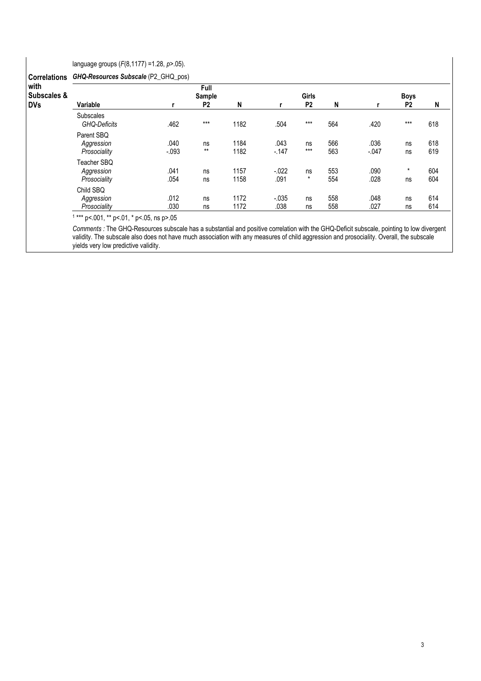|                                              | language groups $(F(8, 1177) = 1.28, p > 0.05)$ .<br><b>GHQ-Resources Subscale</b> (P2_GHQ_pos) |                                       |             |              |                                     |               |            |                                    |               |            |  |  |
|----------------------------------------------|-------------------------------------------------------------------------------------------------|---------------------------------------|-------------|--------------|-------------------------------------|---------------|------------|------------------------------------|---------------|------------|--|--|
| <b>Correlations</b>                          |                                                                                                 |                                       |             |              |                                     |               |            |                                    |               |            |  |  |
| with<br><b>Subscales &amp;</b><br><b>DVs</b> | Variable                                                                                        | Full<br>Sample<br>P <sub>2</sub><br>N |             |              | <b>Girls</b><br>P <sub>2</sub><br>N |               |            | <b>Boys</b><br>N<br>P <sub>2</sub> |               |            |  |  |
|                                              | <b>Subscales</b><br>GHQ-Deficits                                                                | .462                                  | $***$       | 1182         | .504                                | $***$         | 564        | .420                               | $***$         | 618        |  |  |
|                                              | Parent SBQ<br>Aggression<br>Prosociality                                                        | .040<br>$-.093$                       | ns<br>$***$ | 1184<br>1182 | .043<br>$-147$                      | ns<br>$***$   | 566<br>563 | .036<br>$-.047$                    | ns<br>ns      | 618<br>619 |  |  |
|                                              | Teacher SBQ<br>Aggression<br>Prosociality                                                       | .041<br>.054                          | ns<br>ns    | 1157<br>1158 | $-0.022$<br>.091                    | ns<br>$\star$ | 553<br>554 | .090<br>.028                       | $\star$<br>ns | 604<br>604 |  |  |
|                                              | Child SBQ<br>Aggression<br>Prosociality                                                         | .012<br>.030                          | ns<br>ns    | 1172<br>1172 | $-0.035$<br>.038                    | ns<br>ns      | 558<br>558 | .048<br>.027                       | ns<br>ns      | 614<br>614 |  |  |

1 \*\*\* p<.001, \*\* p<.01, \* p<.05, ns p>.05

Comments : The GHQ-Resources subscale has a substantial and positive correlation with the GHQ-Deficit subscale, pointing to low divergent validity. The subscale also does not have much association with any measures of child aggression and prosociality. Overall, the subscale yields very low predictive validity.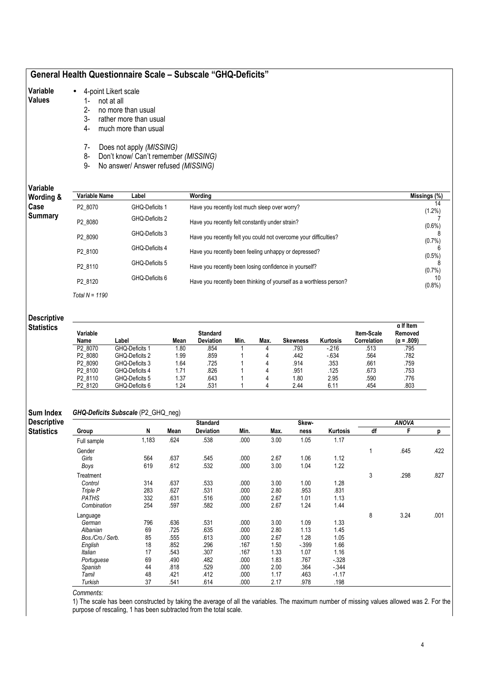### General Health Questionnaire Scale – Subscale "GHQ-Deficits"

#### Variable • 4-point Likert scale

### Values

1- not at all

- 2- no more than usual<br>3- rather more than us 3- rather more than usual<br>4- much more than usual
- much more than usual
- 7- Does not apply (MISSING)
- 8- Don't know/ Can't remember (MISSING)
- 9- No answer/ Answer refused (MISSING)

### Variable

| <b>TULICATION</b><br>Wording & | Variable Name    | Label          | Wording                                                            | Missings (%)    |
|--------------------------------|------------------|----------------|--------------------------------------------------------------------|-----------------|
| Case                           | P2 8070          | GHQ-Deficits 1 | Have you recently lost much sleep over worry?                      | 14<br>$(1.2\%)$ |
| Summary                        | P2 8080          | GHQ-Deficits 2 | Have you recently felt constantly under strain?                    | $(0.6\%)$       |
|                                | P2 8090          | GHQ-Deficits 3 | Have you recently felt you could not overcome your difficulties?   | $(0.7\%)$       |
|                                | P2 8100          | GHQ-Deficits 4 | Have you recently been feeling unhappy or depressed?               | $(0.5\%)$       |
|                                | P2 8110          | GHQ-Deficits 5 | Have you recently been losing confidence in yourself?              | $(0.7\%)$       |
|                                | P2 8120          | GHQ-Deficits 6 | Have you recently been thinking of yourself as a worthless person? | 10<br>$(0.8\%)$ |
|                                | Total $N = 1190$ |                |                                                                    |                 |

#### **Descriptive Statistics**

|          |                |                 |                  |      |      |                 |          |                   | $\alpha$ If Item  |
|----------|----------------|-----------------|------------------|------|------|-----------------|----------|-------------------|-------------------|
| Variable |                |                 | <b>Standard</b>  |      |      |                 |          | <b>Item-Scale</b> | Removed           |
| Name     | Label          | Mean            | <b>Deviation</b> | Min. | Max. | <b>Skewness</b> | Kurtosis | Correlation       | $(\alpha = .809)$ |
| P2 8070  | GHQ-Deficits 1 | 1.80            | .854             |      |      | .793            | $-216$   | .513              | .795              |
| P2 8080  | GHQ-Deficits 2 | 1.99            | .859             |      |      | .442            | $-634$   | .564              | .782              |
| P2 8090  | GHQ-Deficits 3 | .64             | .725             |      |      | .914            | .353     | .661              | .759              |
| P2 8100  | GHQ-Deficits 4 | 1.71            | .826             |      |      | .951            | .125     | .673              | .753              |
| P2 8110  | GHQ-Deficits 5 | 1.37            | .643             |      |      | 1.80            | 2.95     | .590              | .776              |
| P2 8120  | GHQ-Deficits 6 | $\overline{24}$ | .531             |      |      | 2.44            | 6.11     | .454              | .803              |

#### Sum Index GHQ-Deficits Subscale (P2\_GHQ\_neg)

**Descriptive Statistics** Standard Standard Skew- Shaw ANOVA Group N Mean Deviation Min. Max. ness Kurtosis df F p Full sample 1,183 .624 .538 .000 3.00 1.05 1.17 Gender 1 .645 .422 Girls 564 .637 .545 .000 2.67 1.06 1.12 Boys 619 .612 .532 .000 3.00 1.04 1.22 Treatment 3 .298 .827 Control 314 .637 .533 .000 3.00 1.00 1.28 Triple P 283 .627 .531 .000 2.80 .953 .831 PATHS 332 .631 .516 .000 2.67 1.01 1.13 Combination 254 .597 .582 .000 2.67 1.24 1.44 Language 8 3.24 .001 German 796 .636 .531 .000 3.00 1.09 1.33 Albanian 69 .725 .635 .000 2.80 1.13 1.45 Bos./Cro./ Serb. 85 .555 .613 .000 2.67 1.28 1.05 English 18 .852 .296 .167 1.50 -.399 1.66 Italian 17 .543 .307 .167 1.33 1.07 1.16 Portuguese 69 .490 .482 .000 1.83 .767 -.328 Spanish 44 .818 .529 .000 2.00 .364 -.344 Tamil 48 .421 .412 .000 1.17 .463 -1.17 Turkish 37 .541 .614 .000 2.17 .978 .198

Comments:

1) The scale has been constructed by taking the average of all the variables. The maximum number of missing values allowed was 2. For the purpose of rescaling, 1 has been subtracted from the total scale.